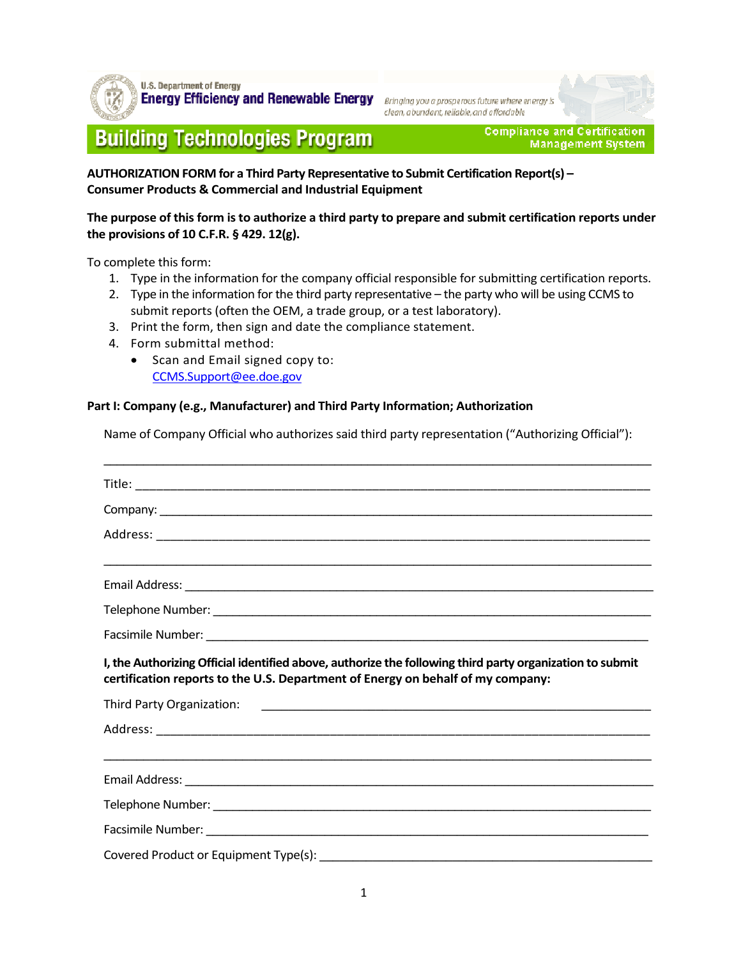

**U.S. Department of Energy Energy Efficiency and Renewable Energy** Bringing you a prosperous future where energy is

clean, abundant, reliable, and affordable

# **Building Technologies Program**

**Compliance and Certification Management System** 

**AUTHORIZATION FORM for a Third Party Representative to Submit Certification Report(s) – Consumer Products & Commercial and Industrial Equipment** 

**The purpose of this form is to authorize a third party to prepare and submit certification reports under the provisions of 10 C.F.R. § 429. 12(g).** 

To complete this form:

- 1. Type in the information for the company official responsible for submitting certification reports.
- 2. Type in the information for the third party representative the party who will be using CCMS to submit reports (often the OEM, a trade group, or a test laboratory).
- 3. Print the form, then sign and date the compliance statement.
- 4. Form submittal method:
	- Scan and Email signed copy to: CCMS.Support@ee.doe.gov

#### **Part I: Company (e.g., Manufacturer) and Third Party Information; Authorization**

Name of Company Official who authorizes said third party representation ("Authorizing Official"):

\_\_\_\_\_\_\_\_\_\_\_\_\_\_\_\_\_\_\_\_\_\_\_\_\_\_\_\_\_\_\_\_\_\_\_\_\_\_\_\_\_\_\_\_\_\_\_\_\_\_\_\_\_\_\_\_\_\_\_\_\_\_\_\_\_\_\_\_\_\_\_\_\_\_\_\_\_\_\_\_\_\_\_

| I, the Authorizing Official identified above, authorize the following third party organization to submit<br>certification reports to the U.S. Department of Energy on behalf of my company: |  |  |
|---------------------------------------------------------------------------------------------------------------------------------------------------------------------------------------------|--|--|
|                                                                                                                                                                                             |  |  |
|                                                                                                                                                                                             |  |  |
|                                                                                                                                                                                             |  |  |
|                                                                                                                                                                                             |  |  |
|                                                                                                                                                                                             |  |  |
|                                                                                                                                                                                             |  |  |